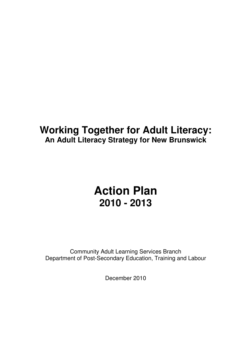## **Working Together for Adult Literacy: An Adult Literacy Strategy for New Brunswick**

# **Action Plan 2010 - 2013**

Community Adult Learning Services Branch Department of Post-Secondary Education, Training and Labour

December 2010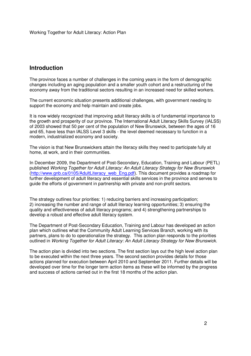### **Introduction**

The province faces a number of challenges in the coming years in the form of demographic changes including an aging population and a smaller youth cohort and a restructuring of the economy away from the traditional sectors resulting in an increased need for skilled workers.

The current economic situation presents additional challenges, with government needing to support the economy and help maintain and create jobs.

It is now widely recognized that improving adult literacy skills is of fundamental importance to the growth and prosperity of our province. The International Adult Literacy Skills Survey (IALSS) of 2003 showed that 50 per cent of the population of New Brunswick, between the ages of 16 and 65, have less than IALSS Level 3 skills - the level deemed necessary to function in a modern, industrialized economy and society.

The vision is that New Brunswickers attain the literacy skills they need to participate fully at home, at work, and in their communities.

In December 2009, the Department of Post-Secondary, Education, Training and Labour (PETL) published Working Together for Adult Literacy: An Adult Literacy Strategy for New Brunswick (http://www.gnb.ca/0105/AdultLiteracy\_web\_Eng.pdf). This document provides a roadmap for further development of adult literacy and essential skills services in the province and serves to guide the efforts of government in partnership with private and non-profit sectors.

The strategy outlines four priorities: 1) reducing barriers and increasing participation; 2) increasing the number and range of adult literacy learning opportunities; 3) ensuring the quality and effectiveness of adult literacy programs; and 4) strengthening partnerships to develop a robust and effective adult literacy system.

The Department of Post-Secondary Education, Training and Labour has developed an action plan which outlines what the Community Adult Learning Services Branch, working with its partners, plans to do to operationalize the strategy. This action plan responds to the priorities outlined in Working Together for Adult Literacy: An Adult Literacy Strategy for New Brunswick.

The action plan is divided into two sections. The first section lays out the high level action plan to be executed within the next three years. The second section provides details for those actions planned for execution between April 2010 and September 2011. Further details will be developed over time for the longer term action items as these will be informed by the progress and success of actions carried out in the first 18 months of the action plan.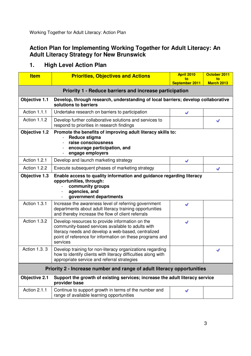## **Action Plan for Implementing Working Together for Adult Literacy: An Adult Literacy Strategy for New Brunswick**

| <b>Item</b>                                                                                                                                                              | <b>Priorities, Objectives and Actions</b>                                                                                                                                                                                           | <b>April 2010</b><br>to | October 2011<br>to |  |  |
|--------------------------------------------------------------------------------------------------------------------------------------------------------------------------|-------------------------------------------------------------------------------------------------------------------------------------------------------------------------------------------------------------------------------------|-------------------------|--------------------|--|--|
|                                                                                                                                                                          |                                                                                                                                                                                                                                     | September 2011          | <b>March 2013</b>  |  |  |
| Priority 1 - Reduce barriers and increase participation                                                                                                                  |                                                                                                                                                                                                                                     |                         |                    |  |  |
| Objective 1.1                                                                                                                                                            | Develop, through research, understanding of local barriers; develop collaborative<br>solutions to barriers                                                                                                                          |                         |                    |  |  |
| Action 1.1.1                                                                                                                                                             | Undertake research on barriers to participation                                                                                                                                                                                     | V                       |                    |  |  |
| Action 1.1.2                                                                                                                                                             | Develop further collaborative solutions and services to<br>respond to priorities in research findings                                                                                                                               |                         |                    |  |  |
| Promote the benefits of improving adult literacy skills to:<br>Objective 1.2<br>Reduce stigma<br>raise consciousness<br>encourage participation, and<br>engage employers |                                                                                                                                                                                                                                     |                         |                    |  |  |
| Action 1.2.1                                                                                                                                                             | Develop and launch marketing strategy                                                                                                                                                                                               | √                       |                    |  |  |
| Action 1.2.2                                                                                                                                                             | Execute subsequent phases of marketing strategy                                                                                                                                                                                     |                         | v                  |  |  |
| Objective 1.3                                                                                                                                                            | Enable access to quality information and guidance regarding literacy<br>opportunities, through:<br>community groups<br>agencies, and<br>government departments                                                                      |                         |                    |  |  |
| Action 1.3.1                                                                                                                                                             | Increase the awareness level of referring government<br>departments about adult literacy training opportunities<br>and thereby increase the flow of client referrals                                                                |                         |                    |  |  |
| Action 1.3.2                                                                                                                                                             | Develop resources to provide information on the<br>community-based services available to adults with<br>literacy needs and develop a web-based, centralized<br>point of reference for information on these programs and<br>services |                         |                    |  |  |
| <b>Action 1.3.3</b>                                                                                                                                                      | Develop training for non-literacy organizations regarding<br>how to identify clients with literacy difficulties along with<br>appropriate service and referral strategies                                                           |                         |                    |  |  |
| Priority 2 - Increase number and range of adult literacy opportunities                                                                                                   |                                                                                                                                                                                                                                     |                         |                    |  |  |
| <b>Objective 2.1</b>                                                                                                                                                     | Support the growth of existing services; increase the adult literacy service<br>provider base                                                                                                                                       |                         |                    |  |  |
| Action 2.1.1                                                                                                                                                             | Continue to support growth in terms of the number and<br>range of available learning opportunities                                                                                                                                  | J                       |                    |  |  |

## **1. High Level Action Plan**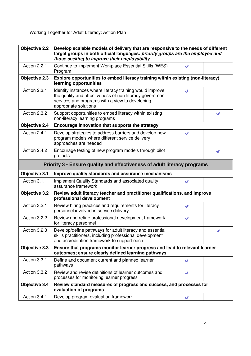| <b>Objective 2.2</b> | Develop scalable models of delivery that are responsive to the needs of different<br>target groups in both official languages: priority groups are the employed and<br>those seeking to improve their employability |    |    |
|----------------------|---------------------------------------------------------------------------------------------------------------------------------------------------------------------------------------------------------------------|----|----|
| Action 2.2.1         | Continue to implement Workplace Essential Skills (WES)<br>Program                                                                                                                                                   | J  |    |
| Objective 2.3        | Explore opportunities to embed literacy training within existing (non-literacy)<br>learning opportunities                                                                                                           |    |    |
| Action 2.3.1         | Identify instances where literacy training would improve<br>the quality and effectiveness of non-literacy government<br>services and programs with a view to developing<br>appropriate solutions                    | J. |    |
| Action 2.3.2         | Support opportunities to embed literacy within existing<br>non-literacy learning programs                                                                                                                           |    | st |
| Objective 2.4        | Encourage innovation that supports the strategy                                                                                                                                                                     |    |    |
| Action 2.4.1         | Develop strategies to address barriers and develop new<br>program models where different service delivery<br>approaches are needed                                                                                  | st |    |
| Action 2.4.2         | Encourage testing of new program models through pilot<br>projects                                                                                                                                                   |    | V  |
|                      | Priority 3 - Ensure quality and effectiveness of adult literacy programs                                                                                                                                            |    |    |
| Objective 3.1        | Improve quality standards and assurance mechanisms                                                                                                                                                                  |    |    |
| Action 3.1.1         | Implement Quality Standards and associated quality<br>assurance framework                                                                                                                                           | V  |    |
| <b>Objective 3.2</b> | Review adult literacy teacher and practitioner qualifications, and improve<br>professional development                                                                                                              |    |    |
| Action 3.2.1         | Review hiring practices and requirements for literacy<br>personnel involved in service delivery                                                                                                                     | J  |    |
| Action 3.2.2         | Review and refine professional development framework<br>for literacy personnel                                                                                                                                      | st |    |
| Action 3.2.3         | Develop/define pathways for adult literacy and essential<br>skills practitioners, including professional development<br>and accreditation framework to support each                                                 |    | V  |
| Objective 3.3        | Ensure that programs monitor learner progress and lead to relevant learner<br>outcomes; ensure clearly defined learning pathways                                                                                    |    |    |
| Action 3.3.1         | Define and document current and planned learner<br>pathways                                                                                                                                                         | √  |    |
| Action 3.3.2         | Review and revise definitions of learner outcomes and<br>processes for monitoring learner progress                                                                                                                  | v  |    |
| Objective 3.4        | Review standard measures of progress and success, and processes for<br>evaluation of programs                                                                                                                       |    |    |
| Action 3.4.1         | Develop program evaluation framework                                                                                                                                                                                | V  |    |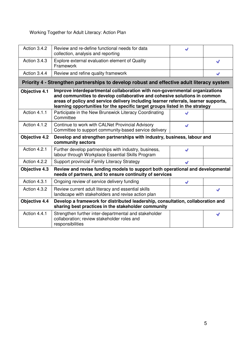| Action 3.4.2         | Review and re-define functional needs for data<br>collection, analysis and reporting                                                                                                                                                                                                                                            | st |   |  |
|----------------------|---------------------------------------------------------------------------------------------------------------------------------------------------------------------------------------------------------------------------------------------------------------------------------------------------------------------------------|----|---|--|
| Action 3.4.3         | Explore external evaluation element of Quality<br>Framework                                                                                                                                                                                                                                                                     |    | v |  |
| Action 3.4.4         | Review and refine quality framework                                                                                                                                                                                                                                                                                             |    | v |  |
|                      | Priority 4 - Strengthen partnerships to develop robust and effective adult literacy system                                                                                                                                                                                                                                      |    |   |  |
| <b>Objective 4.1</b> | Improve interdepartmental collaboration with non-governmental organizations<br>and communities to develop collaborative and cohesive solutions in common<br>areas of policy and service delivery including learner referrals, learner supports,<br>learning opportunities for the specific target groups listed in the strategy |    |   |  |
| Action 4.1.1         | Participate in the New Brunswick Literacy Coordinating<br>Committee                                                                                                                                                                                                                                                             |    |   |  |
| Action 4.1.2         | Continue to work with CALNet Provincial Advisory<br>Committee to support community-based service delivery                                                                                                                                                                                                                       | st |   |  |
| <b>Objective 4.2</b> | Develop and strengthen partnerships with industry, business, labour and<br>community sectors                                                                                                                                                                                                                                    |    |   |  |
| Action 4.2.1         | Further develop partnerships with industry, business,<br>labour through Workplace Essential Skills Program                                                                                                                                                                                                                      |    |   |  |
| Action 4.2.2         | Support provincial Family Literacy Strategy                                                                                                                                                                                                                                                                                     | V  |   |  |
| <b>Objective 4.3</b> | Review and revise funding models to support both operational and developmental<br>needs of partners, and to ensure continuity of services                                                                                                                                                                                       |    |   |  |
| Action 4.3.1         | Ongoing review of service delivery funding                                                                                                                                                                                                                                                                                      | V  |   |  |
| Action 4.3.2         | Review current adult literacy and essential skills<br>landscape with stakeholders and revise action plan                                                                                                                                                                                                                        |    | V |  |
| Objective 4.4        | Develop a framework for distributed leadership, consultation, collaboration and<br>sharing best practices in the stakeholder community                                                                                                                                                                                          |    |   |  |
| Action 4.4.1         | Strengthen further inter-departmental and stakeholder<br>collaboration; review stakeholder roles and<br>responsibilities                                                                                                                                                                                                        |    | V |  |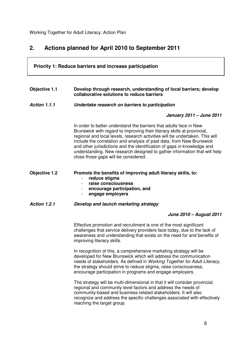## **2. Actions planned for April 2010 to September 2011**

## **Priority 1: Reduce barriers and increase participation Objective 1.1 Develop through research, understanding of local barriers; develop collaborative solutions to reduce barriers Action 1.1.1 Undertake research on barriers to participation January 2011 – June 2011**  In order to better understand the barriers that adults face in New Brunswick with regard to improving their literacy skills at provincial, regional and local levels, research activities will be undertaken. This will include the correlation and analysis of past data, from New Brunswick and other jurisdictions and the identification of gaps in knowledge and understanding. New research designed to gather information that will help close those gaps will be considered. **Objective 1.2 Promote the benefits of improving adult literacy skills, to:**  - **reduce stigma**  - **raise consciousness**  - **encourage participation, and**  - **engage employers Action 1.2.1 Develop and launch marketing strategy June 2010 – August 2011**  Effective promotion and recruitment is one of the most significant challenges that service delivery providers face today, due to the lack of awareness and understanding that exists on the need for and benefits of improving literacy skills. In recognition of this, a comprehensive marketing strategy will be developed for New Brunswick which will address the communication needs of stakeholders. As defined in Working Together for Adult Literacy, the strategy should strive to reduce stigma, raise consciousness, encourage participation in programs and engage employers. The strategy will be multi-dimensional in that it will consider provincial, regional and community level factors and address the needs of community-based and business-related stakeholders. It will also recognize and address the specific challenges associated with effectively reaching the target group.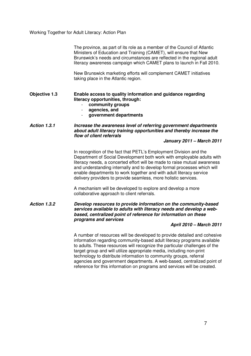The province, as part of its role as a member of the Council of Atlantic Ministers of Education and Training (CAMET), will ensure that New Brunswick's needs and circumstances are reflected in the regional adult literacy awareness campaign which CAMET plans to launch in Fall 2010.

New Brunswick marketing efforts will complement CAMET initiatives taking place in the Atlantic region.

#### **Objective 1.3 Enable access to quality information and guidance regarding literacy opportunities, through:**

- **community groups**
- **agencies, and**
- **government departments**

**Action 1.3.1 Increase the awareness level of referring government departments about adult literacy training opportunities and thereby increase the flow of client referrals** 

#### **January 2011 – March 2011**

In recognition of the fact that PETL's Employment Division and the Department of Social Development both work with employable adults with literacy needs, a concerted effort will be made to raise mutual awareness and understanding internally and to develop formal processes which will enable departments to work together and with adult literacy service delivery providers to provide seamless, more holistic services.

A mechanism will be developed to explore and develop a more collaborative approach to client referrals.

**Action 1.3.2 Develop resources to provide information on the community-based services available to adults with literacy needs and develop a webbased, centralized point of reference for information on these programs and services** 

#### **April 2010 – March 2011**

A number of resources will be developed to provide detailed and cohesive information regarding community-based adult literacy programs available to adults. These resources will recognize the particular challenges of the target group and will utilize appropriate media, including non-print technology to distribute information to community groups, referral agencies and government departments. A web-based, centralized point of reference for this information on programs and services will be created.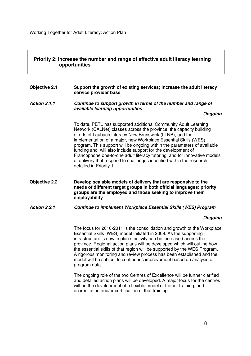#### **Priority 2: Increase the number and range of effective adult literacy learning opportunities**

#### **Objective 2.1 Support the growth of existing services; increase the adult literacy service provider base**

#### **Action 2.1.1 Continue to support growth in terms of the number and range of available learning opportunities**

#### **Ongoing**

To date, PETL has supported additional Community Adult Learning Network (CALNet) classes across the province, the capacity building efforts of Laubach Literacy New Brunswick (LLNB), and the implementation of a major, new Workplace Essential Skills (WES) program. This support will be ongoing within the parameters of available funding and will also include support for the development of Francophone one-to-one adult literacy tutoring and for innovative models of delivery that respond to challenges identified within the research detailed in Priority 1.

#### **Objective 2.2 Develop scalable models of delivery that are responsive to the needs of different target groups in both official languages: priority groups are the employed and those seeking to improve their employability**

#### **Action 2.2.1 Continue to implement Workplace Essential Skills (WES) Program**

#### **Ongoing**

The focus for 2010-2011 is the consolidation and growth of the Workplace Essential Skills (WES) model initiated in 2009. As the supporting infrastructure is now in place, activity can be increased across the province. Regional action plans will be developed which will outline how the essential skills of that region will be supported by the WES Program. A rigorous monitoring and review process has been established and the model will be subject to continuous improvement based on analysis of program data.

The ongoing role of the two Centres of Excellence will be further clarified and detailed action plans will be developed. A major focus for the centres will be the development of a flexible model of trainer training, and accreditation and/or certification of that training.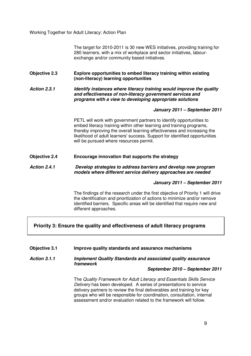The target for 2010-2011 is 30 new WES initiatives, providing training for 280 learners, with a mix of workplace and sector initiatives, labourexchange and/or community based initiatives.

**Objective 2.3 Explore opportunities to embed literacy training within existing (non-literacy) learning opportunities** 

Action 2.3.1 **IDENT IS IGLETT IS UPPEN UPPEN THE VALUATION** *Interacy training would improve the quality* **and effectiveness of non-literacy government services and programs with a view to developing appropriate solutions** 

#### **January 2011 – September 2011**

PETL will work with government partners to identify opportunities to embed literacy training within other learning and training programs, thereby improving the overall learning effectiveness and increasing the likelihood of adult learners' success. Support for identified opportunities will be pursued where resources permit.

**Objective 2.4 Encourage innovation that supports the strategy** 

#### **Action 2.4.1 Develop strategies to address barriers and develop new program models where different service delivery approaches are needed**

#### **January 2011 – September 2011**

The findings of the research under the first objective of Priority 1 will drive the identification and prioritization of actions to minimize and/or remove identified barriers. Specific areas will be identified that require new and different approaches.

#### **Priority 3: Ensure the quality and effectiveness of adult literacy programs**

#### **Objective 3.1 Improve quality standards and assurance mechanisms**

**Action 3.1.1 Implement Quality Standards and associated quality assurance framework** 

#### **September 2010 – September 2011**

The Quality Framework for Adult Literacy and Essentials Skills Service Delivery has been developed. A series of presentations to service delivery partners to review the final deliverables and training for key groups who will be responsible for coordination, consultation, internal assessment and/or evaluation related to the framework will follow.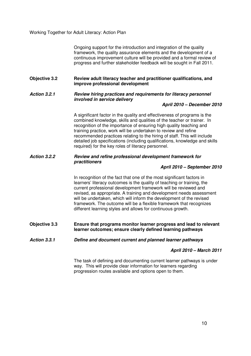Ongoing support for the introduction and integration of the quality framework, the quality assurance elements and the development of a continuous improvement culture will be provided and a formal review of progress and further stakeholder feedback will be sought in Fall 2011.

**Objective 3.2 Review adult literacy teacher and practitioner qualifications, and improve professional development** 

#### **Action 3.2.1 Review hiring practices and requirements for literacy personnel involved in service delivery**

**April 2010 – December 2010** 

A significant factor in the quality and effectiveness of programs is the combined knowledge, skills and qualities of the teacher or trainer. In recognition of the importance of ensuring high quality teaching and training practice, work will be undertaken to review and refine recommended practices relating to the hiring of staff. This will include detailed job specifications (including qualifications, knowledge and skills required) for the key roles of literacy personnel.

#### **Action 3.2.2 Review and refine professional development framework for practitioners**

#### **April 2010 – September 2010**

In recognition of the fact that one of the most significant factors in learners' literacy outcomes is the quality of teaching or training, the current professional development framework will be reviewed and revised, as appropriate. A training and development needs assessment will be undertaken, which will inform the development of the revised framework. The outcome will be a flexible framework that recognizes different learning styles and allows for continuous growth.

**Objective 3.3 Ensure that programs monitor learner progress and lead to relevant learner outcomes; ensure clearly defined learning pathways** 

#### **Action 3.3.1 Define and document current and planned learner pathways**

#### **April 2010 – March 2011**

The task of defining and documenting current learner pathways is under way. This will provide clear information for learners regarding progression routes available and options open to them.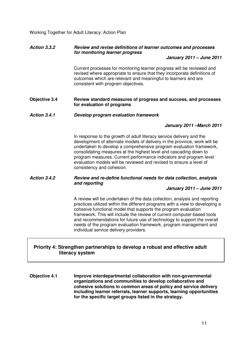#### **Action 3.3.2 Review and revise definitions of learner outcomes and processes for monitoring learner progress**

#### **January 2011 – June 2011**

Current processes for monitoring learner progress will be reviewed and revised where appropriate to ensure that they incorporate definitions of outcomes which are relevant and meaningful to learners and are consistent with program objectives.

#### **Objective 3.4 Review standard measures of progress and success, and processes for evaluation of programs**

#### **Action 3.4.1 Develop program evaluation framework**

#### **January 2011 –March 2011**

In response to the growth of adult literacy service delivery and the development of alternate models of delivery in the province, work will be undertaken to develop a comprehensive program evaluation framework, consolidating measures at the highest level and cascading down to program measures. Current performance indicators and program level evaluation models will be reviewed and revised to ensure a level of consistency and cohesion.

#### **Action 3.4.2 Review and re-define functional needs for data collection, analysis and reporting**

#### **January 2011 – June 2011**

A review will be undertaken of the data collection, analysis and reporting practices utilized within the different programs with a view to developing a cohesive functional model that supports the program evaluation framework. This will include the review of current computer-based tools and recommendations for future use of technology to support the overall needs of the program evaluation framework, program management and individual service delivery providers.

#### **Priority 4: Strengthen partnerships to develop a robust and effective adult literacy system**

**Objective 4.1 Improve interdepartmental collaboration with non-governmental organizations and communities to develop collaborative and cohesive solutions in common areas of policy and service delivery including learner referrals, learner supports, learning opportunities for the specific target groups listed in the strategy.**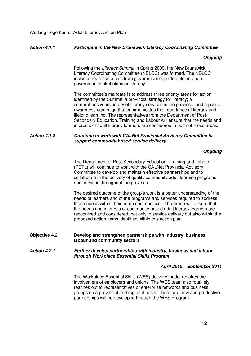#### **Action 4.1.1 Participate in the New Brunswick Literacy Coordinating Committee**

#### **Ongoing**

Following the Literacy Summit in Spring 2009, the New Brunswick Literacy Coordinating Committee (NBLCC) was formed. The NBLCC includes representatives from government departments and nongovernment stakeholders in literacy.

The committee's mandate is to address three priority areas for action identified by the Summit: a provincial strategy for literacy; a comprehensive inventory of literacy services in the province; and a public awareness campaign that communicates the importance of literacy and lifelong learning. The representatives from the Department of Post-Secondary Education, Training and Labour will ensure that the needs and interests of adult literacy learners are considered in each of these areas.

#### **Action 4.1.2 Continue to work with CALNet Provincial Advisory Committee to support community-based service delivery**

#### **Ongoing**

The Department of Post-Secondary Education, Training and Labour (PETL) will continue to work with the CALNet Provincial Advisory Committee to develop and maintain effective partnerships and to collaborate in the delivery of quality community adult learning programs and services throughout the province.

The desired outcome of the group's work is a better understanding of the needs of learners and of the programs and services required to address these needs within their home communities. The group will ensure that the needs and interests of community-based adult literacy learners are recognized and considered, not only in service delivery but also within the proposed action items identified within this action plan.

**Objective 4.2 Develop and strengthen partnerships with industry, business, labour and community sectors** 

**Action 4.2.1 Further develop partnerships with industry, business and labour through Workplace Essential Skills Program** 

#### **April 2010 – September 2011**

The Workplace Essential Skills (WES) delivery model requires the involvement of employers and unions. The WES team also routinely reaches out to representatives of enterprise networks and business groups on a provincial and regional basis. Therefore, new and productive partnerships will be developed through the WES Program.